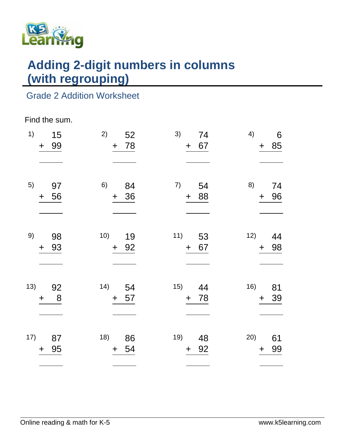

# **Adding 2-digit numbers in columns (with regrouping)**

## Grade 2 Addition Worksheet

#### Find the sum.

| 1)  | 15<br>99<br>$\ddagger$ | 2)<br>52<br>78<br>$+$    | 3)<br>74<br>67<br>$\pm$  | 4)<br>6<br>+ 85              |
|-----|------------------------|--------------------------|--------------------------|------------------------------|
| 5)  | 97<br>56<br>$\ddagger$ | 6)<br>84<br>36<br>$+$    | 7)<br>54<br>+ 88         | 8)<br>74<br>96<br>$\pm$      |
| 9)  | 98<br>93<br>$\ddot{}$  | 10)<br>19<br>92<br>$+$   | 11)<br>53<br>+ 67        | 12)<br>44<br>98<br>$\pm$     |
| 13) | 92<br>8<br>$\ddag$     | 14)<br>54<br>57<br>$\pm$ | 15)<br>44<br>78<br>$+$   | 16)<br>81<br>39<br>$\pm$     |
| 17) | 87<br>95<br>$\ddag$    | 18)<br>86<br>54<br>$\pm$ | 19)<br>48<br>92<br>$\pm$ | 20)<br>61<br>99<br>$\ddot{}$ |